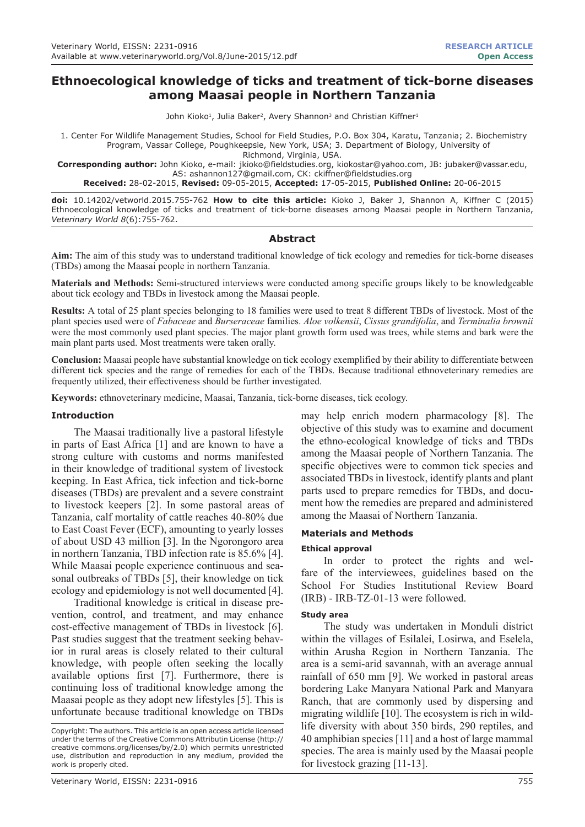# **Ethnoecological knowledge of ticks and treatment of tick-borne diseases among Maasai people in Northern Tanzania**

John Kioko<sup>1</sup>, Julia Baker<sup>2</sup>, Avery Shannon<sup>3</sup> and Christian Kiffner<sup>1</sup>

1. Center For Wildlife Management Studies, School for Field Studies, P.O. Box 304, Karatu, Tanzania; 2. Biochemistry Program, Vassar College, Poughkeepsie, New York, USA; 3. Department of Biology, University of

Richmond, Virginia, USA.

**Corresponding author:** John Kioko, e-mail: jkioko@fieldstudies.org, kiokostar@yahoo.com, JB: jubaker@vassar.edu, AS: ashannon127@gmail.com, CK: ckiffner@fieldstudies.org

**Received:** 28-02-2015, **Revised:** 09-05-2015, **Accepted:** 17-05-2015, **Published Online:** 20-06-2015

**doi:** 10.14202/vetworld.2015.755-762 **How to cite this article:** Kioko J, Baker J, Shannon A, Kiffner C (2015) Ethnoecological knowledge of ticks and treatment of tick-borne diseases among Maasai people in Northern Tanzania, *Veterinary World 8*(6):755-762.

## **Abstract**

**Aim:** The aim of this study was to understand traditional knowledge of tick ecology and remedies for tick-borne diseases (TBDs) among the Maasai people in northern Tanzania.

**Materials and Methods:** Semi-structured interviews were conducted among specific groups likely to be knowledgeable about tick ecology and TBDs in livestock among the Maasai people.

**Results:** A total of 25 plant species belonging to 18 families were used to treat 8 different TBDs of livestock. Most of the plant species used were of *Fabaceae* and *Burseraceae* families. *Aloe volkensii*, *Cissus grandifolia*, and *Terminalia brownii* were the most commonly used plant species. The major plant growth form used was trees, while stems and bark were the main plant parts used. Most treatments were taken orally.

**Conclusion:** Maasai people have substantial knowledge on tick ecology exemplified by their ability to differentiate between different tick species and the range of remedies for each of the TBDs. Because traditional ethnoveterinary remedies are frequently utilized, their effectiveness should be further investigated.

**Keywords:** ethnoveterinary medicine, Maasai, Tanzania, tick-borne diseases, tick ecology.

### **Introduction**

The Maasai traditionally live a pastoral lifestyle in parts of East Africa [1] and are known to have a strong culture with customs and norms manifested in their knowledge of traditional system of livestock keeping. In East Africa, tick infection and tick-borne diseases (TBDs) are prevalent and a severe constraint to livestock keepers [2]. In some pastoral areas of Tanzania, calf mortality of cattle reaches 40-80% due to East Coast Fever (ECF), amounting to yearly losses of about USD 43 million [3]. In the Ngorongoro area in northern Tanzania, TBD infection rate is 85.6% [4]. While Maasai people experience continuous and seasonal outbreaks of TBDs [5], their knowledge on tick ecology and epidemiology is not well documented [4].

Traditional knowledge is critical in disease prevention, control, and treatment, and may enhance cost-effective management of TBDs in livestock [6]. Past studies suggest that the treatment seeking behavior in rural areas is closely related to their cultural knowledge, with people often seeking the locally available options first [7]. Furthermore, there is continuing loss of traditional knowledge among the Maasai people as they adopt new lifestyles [5]. This is unfortunate because traditional knowledge on TBDs

may help enrich modern pharmacology [8]. The objective of this study was to examine and document the ethno-ecological knowledge of ticks and TBDs among the Maasai people of Northern Tanzania. The specific objectives were to common tick species and associated TBDs in livestock, identify plants and plant parts used to prepare remedies for TBDs, and document how the remedies are prepared and administered among the Maasai of Northern Tanzania.

## **Materials and Methods**

## **Ethical approval**

In order to protect the rights and welfare of the interviewees, guidelines based on the School For Studies Institutional Review Board (IRB) - IRB-TZ-01-13 were followed.

#### **Study area**

The study was undertaken in Monduli district within the villages of Esilalei, Losirwa, and Eselela, within Arusha Region in Northern Tanzania. The area is a semi-arid savannah, with an average annual rainfall of 650 mm [9]. We worked in pastoral areas bordering Lake Manyara National Park and Manyara Ranch, that are commonly used by dispersing and migrating wildlife [10]. The ecosystem is rich in wildlife diversity with about 350 birds, 290 reptiles, and 40 amphibian species [11] and a host of large mammal species. The area is mainly used by the Maasai people for livestock grazing [11-13].

Copyright: The authors. This article is an open access article licensed under the terms of the Creative Commons Attributin License (http:// creative commons.org/licenses/by/2.0) which permits unrestricted use, distribution and reproduction in any medium, provided the work is properly cited.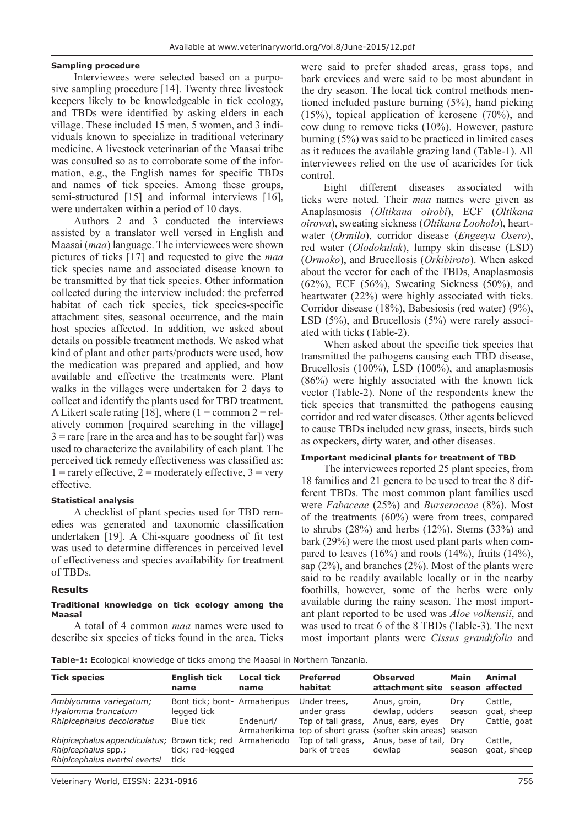## **Sampling procedure**

Interviewees were selected based on a purposive sampling procedure [14]. Twenty three livestock keepers likely to be knowledgeable in tick ecology, and TBDs were identified by asking elders in each village. These included 15 men, 5 women, and 3 individuals known to specialize in traditional veterinary medicine. A livestock veterinarian of the Maasai tribe was consulted so as to corroborate some of the information, e.g., the English names for specific TBDs and names of tick species. Among these groups, semi-structured [15] and informal interviews [16], were undertaken within a period of 10 days.

Authors 2 and 3 conducted the interviews assisted by a translator well versed in English and Maasai (*maa*) language. The interviewees were shown pictures of ticks [17] and requested to give the *maa* tick species name and associated disease known to be transmitted by that tick species. Other information collected during the interview included: the preferred habitat of each tick species, tick species-specific attachment sites, seasonal occurrence, and the main host species affected. In addition, we asked about details on possible treatment methods. We asked what kind of plant and other parts/products were used, how the medication was prepared and applied, and how available and effective the treatments were. Plant walks in the villages were undertaken for 2 days to collect and identify the plants used for TBD treatment. A Likert scale rating [18], where  $(1 = \text{common } 2 = \text{rel-}$ atively common [required searching in the village]  $3$  = rare [rare in the area and has to be sought far]) was used to characterize the availability of each plant. The perceived tick remedy effectiveness was classified as:  $1 =$  rarely effective,  $2 =$  moderately effective,  $3 =$  very effective.

## **Statistical analysis**

A checklist of plant species used for TBD remedies was generated and taxonomic classification undertaken [19]. A Chi-square goodness of fit test was used to determine differences in perceived level of effectiveness and species availability for treatment of TBDs.

## **Results**

#### **Traditional knowledge on tick ecology among the Maasai**

A total of 4 common *maa* names were used to describe six species of ticks found in the area. Ticks

were said to prefer shaded areas, grass tops, and bark crevices and were said to be most abundant in the dry season. The local tick control methods mentioned included pasture burning (5%), hand picking (15%), topical application of kerosene (70%), and cow dung to remove ticks (10%). However, pasture burning (5%) was said to be practiced in limited cases as it reduces the available grazing land (Table-1). All interviewees relied on the use of acaricides for tick control.

Eight different diseases associated with ticks were noted. Their *maa* names were given as Anaplasmosis (*Oltikana oirobi*), ECF (*Oltikana oirowa*), sweating sickness (*Oltikana Looholo*), heartwater (*Ormilo*), corridor disease (*Engeeya Osero*), red water (*Olodokulak*), lumpy skin disease (LSD) (*Ormoko*), and Brucellosis (*Orkibiroto*). When asked about the vector for each of the TBDs, Anaplasmosis (62%), ECF (56%), Sweating Sickness (50%), and heartwater (22%) were highly associated with ticks. Corridor disease (18%), Babesiosis (red water) (9%), LSD (5%), and Brucellosis (5%) were rarely associated with ticks (Table-2).

When asked about the specific tick species that transmitted the pathogens causing each TBD disease, Brucellosis (100%), LSD (100%), and anaplasmosis (86%) were highly associated with the known tick vector (Table-2). None of the respondents knew the tick species that transmitted the pathogens causing corridor and red water diseases. Other agents believed to cause TBDs included new grass, insects, birds such as oxpeckers, dirty water, and other diseases.

## **Important medicinal plants for treatment of TBD**

The interviewees reported 25 plant species, from 18 families and 21 genera to be used to treat the 8 different TBDs. The most common plant families used were *Fabaceae* (25%) and *Burseraceae* (8%). Most of the treatments (60%) were from trees, compared to shrubs  $(28%)$  and herbs  $(12%)$ . Stems  $(33%)$  and bark (29%) were the most used plant parts when compared to leaves  $(16\%)$  and roots  $(14\%)$ , fruits  $(14\%)$ , sap  $(2\%)$ , and branches  $(2\%)$ . Most of the plants were said to be readily available locally or in the nearby foothills, however, some of the herbs were only available during the rainy season. The most important plant reported to be used was *Aloe volkensii*, and was used to treat 6 of the 8 TBDs (Table-3). The next most important plants were *Cissus grandifolia* and

**Table-1:** Ecological knowledge of ticks among the Maasai in Northern Tanzania.

| <b>Tick species</b>                                                                   | <b>English tick</b><br>name                             | <b>Local tick</b><br>name | <b>Preferred</b><br>habitat         | <b>Observed</b><br>attachment site                                | Main          | Animal<br>season affected |
|---------------------------------------------------------------------------------------|---------------------------------------------------------|---------------------------|-------------------------------------|-------------------------------------------------------------------|---------------|---------------------------|
| Amblyomma variegatum;<br>Hyalomma truncatum                                           | Bont tick; bont- Armaheripus<br>legged tick             |                           | Under trees,<br>under grass         | Anus, groin,<br>dewlap, udders                                    | Drv<br>season | Cattle,<br>goat, sheep    |
| Rhipicephalus decoloratus                                                             | Blue tick                                               | Endenuri/<br>Armaherikima | Top of tall grass,                  | Anus, ears, eyes<br>top of short grass (softer skin areas) season | Drv           | Cattle, goat              |
| Rhipicephalus appendiculatus;<br>Rhipicephalus spp.;<br>Rhipicephalus evertsi evertsi | Brown tick; red Armaheriodo<br>tick; red-legged<br>tick |                           | Top of tall grass,<br>bark of trees | Anus, base of tail, Dry<br>dewlap                                 | season        | Cattle,<br>goat, sheep    |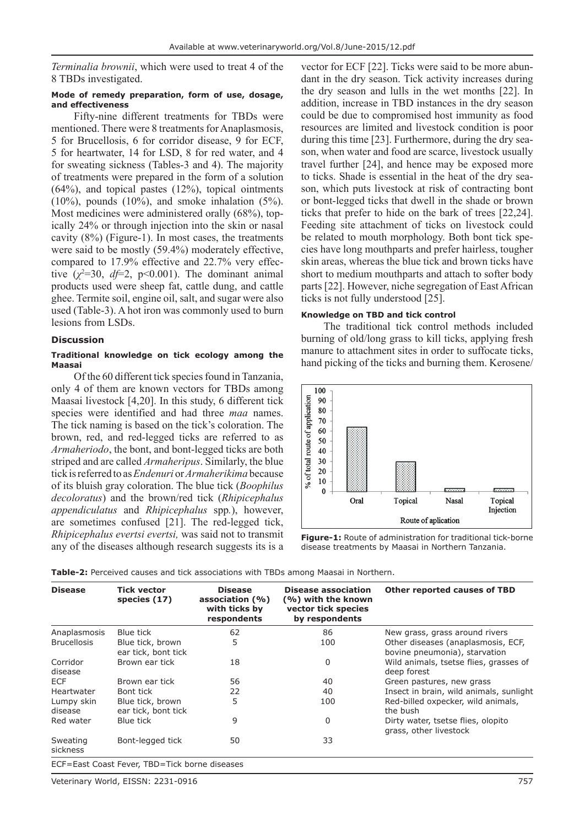*Terminalia brownii*, which were used to treat 4 of the 8 TBDs investigated.

#### **Mode of remedy preparation, form of use, dosage, and effectiveness**

Fifty-nine different treatments for TBDs were mentioned. There were 8 treatments for Anaplasmosis, 5 for Brucellosis, 6 for corridor disease, 9 for ECF, 5 for heartwater, 14 for LSD, 8 for red water, and 4 for sweating sickness (Tables-3 and 4). The majority of treatments were prepared in the form of a solution  $(64%)$ , and topical pastes  $(12%)$ , topical ointments  $(10\%)$ , pounds  $(10\%)$ , and smoke inhalation  $(5\%)$ . Most medicines were administered orally (68%), topically 24% or through injection into the skin or nasal cavity (8%) (Figure-1). In most cases, the treatments were said to be mostly (59.4%) moderately effective, compared to 17.9% effective and 22.7% very effective  $(\chi^2=30, df=2, p<0.001)$ . The dominant animal products used were sheep fat, cattle dung, and cattle ghee. Termite soil, engine oil, salt, and sugar were also used (Table-3). A hot iron was commonly used to burn lesions from LSDs.

## **Discussion**

#### **Traditional knowledge on tick ecology among the Maasai**

Of the 60 different tick species found in Tanzania, only 4 of them are known vectors for TBDs among Maasai livestock [4,20]. In this study, 6 different tick species were identified and had three *maa* names. The tick naming is based on the tick's coloration. The brown, red, and red-legged ticks are referred to as *Armaheriodo*, the bont, and bont-legged ticks are both striped and are called *Armaheripus*. Similarly, the blue tick is referred to as *Endenuri* or *Armaherikima* because of its bluish gray coloration. The blue tick (*Boophilus decoloratus*) and the brown/red tick (*Rhipicephalus appendiculatus* and *Rhipicephalus* spp*.*), however, are sometimes confused [21]. The red-legged tick, *Rhipicephalus evertsi evertsi,* was said not to transmit any of the diseases although research suggests its is a vector for ECF [22]. Ticks were said to be more abundant in the dry season. Tick activity increases during the dry season and lulls in the wet months [22]. In addition, increase in TBD instances in the dry season could be due to compromised host immunity as food resources are limited and livestock condition is poor during this time [23]. Furthermore, during the dry season, when water and food are scarce, livestock usually travel further [24], and hence may be exposed more to ticks. Shade is essential in the heat of the dry season, which puts livestock at risk of contracting bont or bont-legged ticks that dwell in the shade or brown ticks that prefer to hide on the bark of trees [22,24]. Feeding site attachment of ticks on livestock could be related to mouth morphology. Both bont tick species have long mouthparts and prefer hairless, tougher skin areas, whereas the blue tick and brown ticks have short to medium mouthparts and attach to softer body parts [22]. However, niche segregation of East African ticks is not fully understood [25].

#### **Knowledge on TBD and tick control**

The traditional tick control methods included burning of old/long grass to kill ticks, applying fresh manure to attachment sites in order to suffocate ticks, hand picking of the ticks and burning them. Kerosene/



**Figure-1:** Route of administration for traditional tick-borne disease treatments by Maasai in Northern Tanzania.

| <b>Disease</b>        | <b>Tick vector</b><br>species (17)            | <b>Disease</b><br>association (%)<br>with ticks by<br>respondents | <b>Disease association</b><br>(%) with the known<br>vector tick species<br>by respondents | <b>Other reported causes of TBD</b>                                 |
|-----------------------|-----------------------------------------------|-------------------------------------------------------------------|-------------------------------------------------------------------------------------------|---------------------------------------------------------------------|
| Anaplasmosis          | Blue tick                                     | 62                                                                | 86                                                                                        | New grass, grass around rivers                                      |
| <b>Brucellosis</b>    | Blue tick, brown<br>ear tick, bont tick       | 5                                                                 | 100                                                                                       | Other diseases (anaplasmosis, ECF,<br>bovine pneumonia), starvation |
| Corridor<br>disease   | Brown ear tick                                | 18                                                                | 0                                                                                         | Wild animals, tsetse flies, grasses of<br>deep forest               |
| ECF                   | Brown ear tick                                | 56                                                                | 40                                                                                        | Green pastures, new grass                                           |
| Heartwater            | Bont tick                                     | 22                                                                | 40                                                                                        | Insect in brain, wild animals, sunlight                             |
| Lumpy skin<br>disease | Blue tick, brown<br>ear tick, bont tick       | 5                                                                 | 100                                                                                       | Red-billed oxpecker, wild animals,<br>the bush                      |
| Red water             | Blue tick                                     | 9                                                                 | 0                                                                                         | Dirty water, tsetse flies, olopito<br>grass, other livestock        |
| Sweating<br>sickness  | Bont-legged tick                              | 50                                                                | 33                                                                                        |                                                                     |
|                       | ECF=East Coast Fever, TBD=Tick borne diseases |                                                                   |                                                                                           |                                                                     |

**Table-2:** Perceived causes and tick associations with TBDs among Maasai in Northern.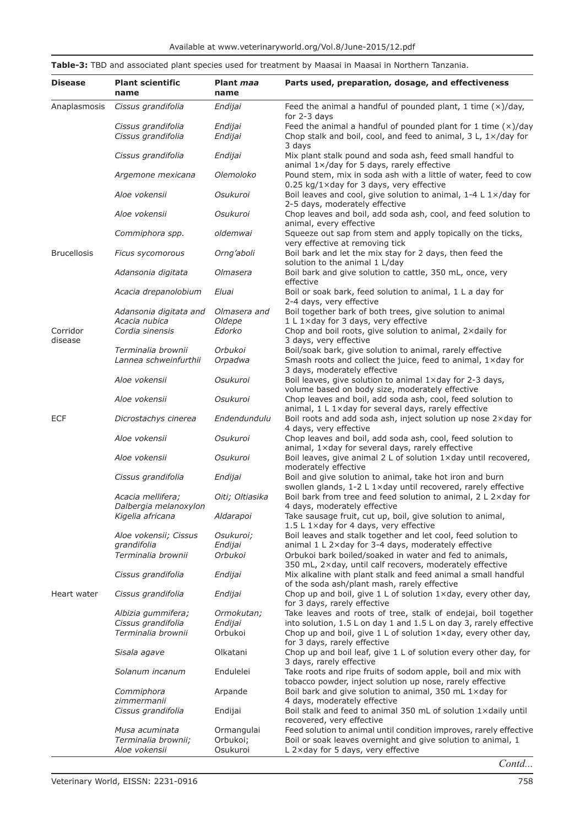|                     |                                            |                          | Table-3: TBD and associated plant species used for treatment by Maasai in Maasai in Northern Tanzania.                                        |
|---------------------|--------------------------------------------|--------------------------|-----------------------------------------------------------------------------------------------------------------------------------------------|
| <b>Disease</b>      | <b>Plant scientific</b><br>name            | Plant <i>maa</i><br>name | Parts used, preparation, dosage, and effectiveness                                                                                            |
| Anaplasmosis        | Cissus grandifolia                         | Endijai                  | Feed the animal a handful of pounded plant, 1 time $(x)/day$ ,<br>for 2-3 days                                                                |
|                     | Cissus grandifolia<br>Cissus grandifolia   | Endijai<br>Endijai       | Feed the animal a handful of pounded plant for 1 time $(x)/day$<br>Chop stalk and boil, cool, and feed to animal, $3 L$ , $1 \times$ /day for |
|                     | Cissus grandifolia                         | Endijai                  | 3 days<br>Mix plant stalk pound and soda ash, feed small handful to<br>animal 1x/day for 5 days, rarely effective                             |
|                     | Argemone mexicana                          | Olemoloko                | Pound stem, mix in soda ash with a little of water, feed to cow<br>$0.25$ kg/1×day for 3 days, very effective                                 |
|                     | Aloe vokensii                              | Osukuroi                 | Boil leaves and cool, give solution to animal, 1-4 L 1x/day for<br>2-5 days, moderately effective                                             |
|                     | Aloe vokensii                              | Osukuroi                 | Chop leaves and boil, add soda ash, cool, and feed solution to<br>animal, every effective                                                     |
|                     | Commiphora spp.                            | oldemwai                 | Squeeze out sap from stem and apply topically on the ticks,<br>very effective at removing tick                                                |
| <b>Brucellosis</b>  | Ficus sycomorous                           | Orng'aboli               | Boil bark and let the mix stay for 2 days, then feed the<br>solution to the animal 1 L/day                                                    |
|                     | Adansonia digitata                         | Olmasera                 | Boil bark and give solution to cattle, 350 mL, once, very<br>effective                                                                        |
|                     | Acacia drepanolobium                       | Eluai                    | Boil or soak bark, feed solution to animal, 1 L a day for<br>2-4 days, very effective                                                         |
|                     | Adansonia digitata and<br>Acacia nubica    | Olmasera and<br>Oldepe   | Boil together bark of both trees, give solution to animal<br>1 L 1×day for 3 days, very effective                                             |
| Corridor<br>disease | Cordia sinensis                            | Edorko                   | Chop and boil roots, give solution to animal, 2xdaily for<br>3 days, very effective                                                           |
|                     | Terminalia brownii                         | Orbukoi                  | Boil/soak bark, give solution to animal, rarely effective                                                                                     |
|                     | Lannea schweinfurthii                      | Orpadwa                  | Smash roots and collect the juice, feed to animal, 1xday for                                                                                  |
|                     | Aloe vokensii                              | Osukuroi                 | 3 days, moderately effective<br>Boil leaves, give solution to animal 1xday for 2-3 days,<br>volume based on body size, moderately effective   |
|                     | Aloe vokensii                              | Osukuroi                 | Chop leaves and boil, add soda ash, cool, feed solution to<br>animal, 1 L 1×day for several days, rarely effective                            |
| <b>ECF</b>          | Dicrostachys cinerea                       | Endendundulu             | Boil roots and add soda ash, inject solution up nose 2xday for<br>4 days, very effective                                                      |
|                     | Aloe vokensii                              | Osukuroi                 | Chop leaves and boil, add soda ash, cool, feed solution to<br>animal, 1xday for several days, rarely effective                                |
|                     | Aloe vokensii                              | Osukuroi                 | Boil leaves, give animal 2 L of solution 1xday until recovered,<br>moderately effective                                                       |
|                     | Cissus grandifolia                         | Endijai                  | Boil and give solution to animal, take hot iron and burn<br>swollen glands, 1-2 L 1×day until recovered, rarely effective                     |
|                     | Acacia mellifera;<br>Dalbergia melanoxylon | Oiti; Oltiasika          | Boil bark from tree and feed solution to animal, $2 L 2 \times day$ for<br>4 days, moderately effective                                       |
|                     | Kigelia africana                           | Aldarapoi                | Take sausage fruit, cut up, boil, give solution to animal,<br>1.5 L 1×day for 4 days, very effective                                          |
|                     | Aloe vokensii; Cissus                      | Osukuroi;                | Boil leaves and stalk together and let cool, feed solution to                                                                                 |
|                     | grandifolia<br>Terminalia brownii          | Endijai<br>Orbukoi       | animal 1 L 2xday for 3-4 days, moderately effective<br>Orbukoi bark boiled/soaked in water and fed to animals,                                |
|                     |                                            |                          | 350 mL, 2xday, until calf recovers, moderately effective                                                                                      |
|                     | Cissus grandifolia                         | Endijai                  | Mix alkaline with plant stalk and feed animal a small handful<br>of the soda ash/plant mash, rarely effective                                 |
| Heart water         | Cissus grandifolia                         | Endijai                  | Chop up and boil, give $1 \text{ L}$ of solution $1 \times$ day, every other day,<br>for 3 days, rarely effective                             |
|                     | Albizia gummifera;                         | Ormokutan;               | Take leaves and roots of tree, stalk of endejai, boil together                                                                                |
|                     | Cissus grandifolia                         | Endijai                  | into solution, 1.5 L on day 1 and 1.5 L on day 3, rarely effective                                                                            |
|                     | Terminalia brownii                         | Orbukoi                  | Chop up and boil, give $1 \text{ L}$ of solution $1 \times$ day, every other day,<br>for 3 days, rarely effective                             |
|                     | Sisala agave                               | Olkatani                 | Chop up and boil leaf, give 1 L of solution every other day, for<br>3 days, rarely effective                                                  |
|                     | Solanum incanum                            | Endulelei                | Take roots and ripe fruits of sodom apple, boil and mix with<br>tobacco powder, inject solution up nose, rarely effective                     |
|                     | Commiphora<br>zimmermanii                  | Arpande                  | Boil bark and give solution to animal, 350 mL 1xday for<br>4 days, moderately effective                                                       |
|                     | Cissus grandifolia                         | Endijai                  | Boil stalk and feed to animal 350 mL of solution 1xdaily until<br>recovered, very effective                                                   |
|                     | Musa acuminata                             | Ormangulai               | Feed solution to animal until condition improves, rarely effective                                                                            |
|                     | Terminalia brownii;<br>Aloe vokensii       | Orbukoi;<br>Osukuroi     | Boil or soak leaves overnight and give solution to animal, 1<br>L 2xday for 5 days, very effective                                            |

*Contd...*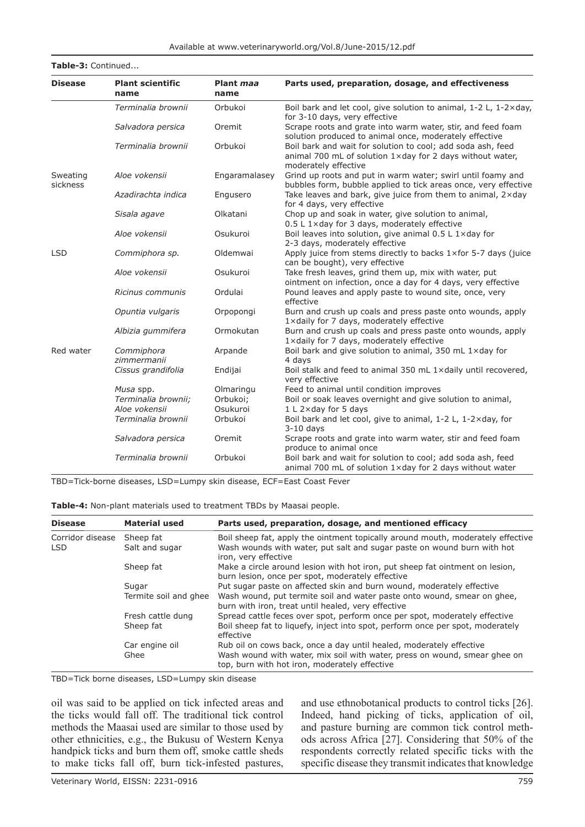**Table-3:** Continued...

| <b>Disease</b>       | <b>Plant scientific</b><br>name | Plant maa<br>name | Parts used, preparation, dosage, and effectiveness                                                                                               |
|----------------------|---------------------------------|-------------------|--------------------------------------------------------------------------------------------------------------------------------------------------|
|                      | Terminalia brownii              | Orbukoi           | Boil bark and let cool, give solution to animal, 1-2 L, 1-2×day,<br>for 3-10 days, very effective                                                |
|                      | Salvadora persica               | Oremit            | Scrape roots and grate into warm water, stir, and feed foam<br>solution produced to animal once, moderately effective                            |
|                      | Terminalia brownii              | Orbukoi           | Boil bark and wait for solution to cool; add soda ash, feed<br>animal 700 mL of solution 1xday for 2 days without water,<br>moderately effective |
| Sweating<br>sickness | Aloe vokensii                   | Engaramalasey     | Grind up roots and put in warm water; swirl until foamy and<br>bubbles form, bubble applied to tick areas once, very effective                   |
|                      | Azadirachta indica              | Engusero          | Take leaves and bark, give juice from them to animal, 2xday<br>for 4 days, very effective                                                        |
|                      | Sisala agave                    | Olkatani          | Chop up and soak in water, give solution to animal,<br>0.5 L 1×day for 3 days, moderately effective                                              |
|                      | Aloe vokensii                   | Osukuroi          | Boil leaves into solution, give animal 0.5 L 1xday for<br>2-3 days, moderately effective                                                         |
| <b>LSD</b>           | Commiphora sp.                  | Oldemwai          | Apply juice from stems directly to backs $1 \times$ for 5-7 days (juice<br>can be bought), very effective                                        |
|                      | Aloe vokensii                   | Osukuroi          | Take fresh leaves, grind them up, mix with water, put<br>ointment on infection, once a day for 4 days, very effective                            |
|                      | Ricinus communis                | Ordulai           | Pound leaves and apply paste to wound site, once, very<br>effective                                                                              |
|                      | Opuntia vulgaris                | Orpopongi         | Burn and crush up coals and press paste onto wounds, apply<br>1xdaily for 7 days, moderately effective                                           |
|                      | Albizia gummifera               | Ormokutan         | Burn and crush up coals and press paste onto wounds, apply<br>1xdaily for 7 days, moderately effective                                           |
| Red water            | Commiphora<br>zimmermanii       | Arpande           | Boil bark and give solution to animal, 350 mL 1xday for<br>4 days                                                                                |
|                      | Cissus grandifolia              | Endijai           | Boil stalk and feed to animal 350 mL 1xdaily until recovered,<br>very effective                                                                  |
|                      | Musa spp.                       | Olmaringu         | Feed to animal until condition improves                                                                                                          |
|                      | Terminalia brownii;             | Orbukoi;          | Boil or soak leaves overnight and give solution to animal,                                                                                       |
|                      | Aloe vokensii                   | Osukuroi          | $1 L 2 \times day$ for 5 days                                                                                                                    |
|                      | Terminalia brownii              | Orbukoi           | Boil bark and let cool, give to animal, 1-2 L, 1-2xday, for<br>$3-10$ days                                                                       |
|                      | Salvadora persica               | Oremit            | Scrape roots and grate into warm water, stir and feed foam<br>produce to animal once                                                             |
|                      | Terminalia brownii              | Orbukoi           | Boil bark and wait for solution to cool; add soda ash, feed<br>animal 700 mL of solution 1xday for 2 days without water                          |

TBD=Tick-borne diseases, LSD=Lumpy skin disease, ECF=East Coast Fever

| <b>Disease</b>   | <b>Material used</b>  | Parts used, preparation, dosage, and mentioned efficacy                                                                          |
|------------------|-----------------------|----------------------------------------------------------------------------------------------------------------------------------|
| Corridor disease | Sheep fat             | Boil sheep fat, apply the ointment topically around mouth, moderately effective                                                  |
| <b>LSD</b>       | Salt and sugar        | Wash wounds with water, put salt and sugar paste on wound burn with hot<br>iron, very effective                                  |
|                  | Sheep fat             | Make a circle around lesion with hot iron, put sheep fat ointment on lesion,<br>burn lesion, once per spot, moderately effective |
|                  | Sugar                 | Put sugar paste on affected skin and burn wound, moderately effective                                                            |
|                  | Termite soil and ghee | Wash wound, put termite soil and water paste onto wound, smear on ghee,<br>burn with iron, treat until healed, very effective    |
|                  | Fresh cattle dung     | Spread cattle feces over spot, perform once per spot, moderately effective                                                       |
|                  | Sheep fat             | Boil sheep fat to liquefy, inject into spot, perform once per spot, moderately<br>effective                                      |
|                  | Car engine oil        | Rub oil on cows back, once a day until healed, moderately effective                                                              |
|                  | Ghee                  | Wash wound with water, mix soil with water, press on wound, smear ghee on<br>top, burn with hot iron, moderately effective       |

TBD=Tick borne diseases, LSD=Lumpy skin disease

oil was said to be applied on tick infected areas and the ticks would fall off. The traditional tick control methods the Maasai used are similar to those used by other ethnicities, e.g., the Bukusu of Western Kenya handpick ticks and burn them off, smoke cattle sheds to make ticks fall off, burn tick-infested pastures,

and use ethnobotanical products to control ticks [26]. Indeed, hand picking of ticks, application of oil, and pasture burning are common tick control methods across Africa [27]. Considering that 50% of the respondents correctly related specific ticks with the specific disease they transmit indicates that knowledge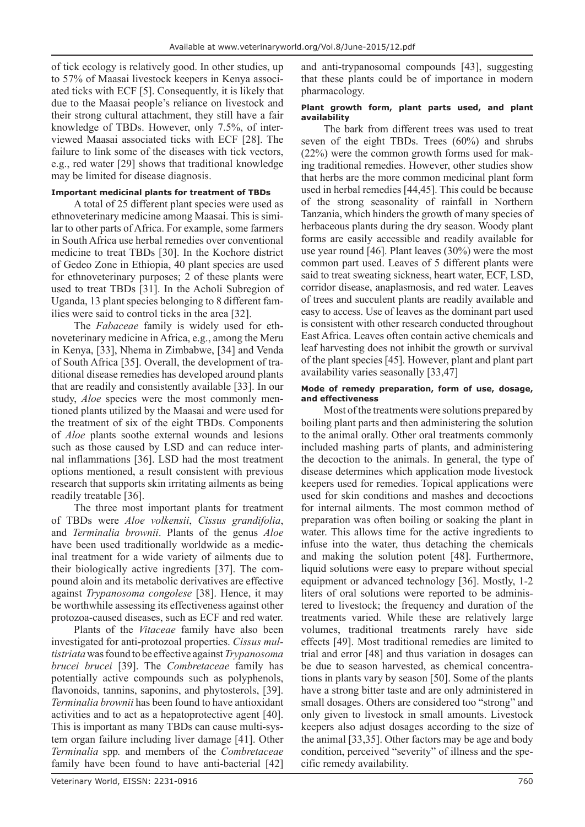of tick ecology is relatively good. In other studies, up to 57% of Maasai livestock keepers in Kenya associated ticks with ECF [5]. Consequently, it is likely that due to the Maasai people's reliance on livestock and their strong cultural attachment, they still have a fair knowledge of TBDs. However, only 7.5%, of interviewed Maasai associated ticks with ECF [28]. The failure to link some of the diseases with tick vectors, e.g., red water [29] shows that traditional knowledge may be limited for disease diagnosis.

## **Important medicinal plants for treatment of TBDs**

A total of 25 different plant species were used as ethnoveterinary medicine among Maasai. This is similar to other parts of Africa. For example, some farmers in South Africa use herbal remedies over conventional medicine to treat TBDs [30]. In the Kochore district of Gedeo Zone in Ethiopia, 40 plant species are used for ethnoveterinary purposes; 2 of these plants were used to treat TBDs [31]. In the Acholi Subregion of Uganda, 13 plant species belonging to 8 different families were said to control ticks in the area [32].

The *Fabaceae* family is widely used for ethnoveterinary medicine in Africa, e.g., among the Meru in Kenya, [33], Nhema in Zimbabwe, [34] and Venda of South Africa [35]. Overall, the development of traditional disease remedies has developed around plants that are readily and consistently available [33]. In our study, *Aloe* species were the most commonly mentioned plants utilized by the Maasai and were used for the treatment of six of the eight TBDs. Components of *Aloe* plants soothe external wounds and lesions such as those caused by LSD and can reduce internal inflammations [36]. LSD had the most treatment options mentioned, a result consistent with previous research that supports skin irritating ailments as being readily treatable [36].

The three most important plants for treatment of TBDs were *Aloe volkensii*, *Cissus grandifolia*, and *Terminalia brownii*. Plants of the genus *Aloe* have been used traditionally worldwide as a medicinal treatment for a wide variety of ailments due to their biologically active ingredients [37]. The compound aloin and its metabolic derivatives are effective against *Trypanosoma congolese* [38]. Hence, it may be worthwhile assessing its effectiveness against other protozoa-caused diseases, such as ECF and red water.

Plants of the *Vitaceae* family have also been investigated for anti-protozoal properties. *Cissus multistriata* was found to be effective against *Trypanosoma brucei brucei* [39]. The *Combretaceae* family has potentially active compounds such as polyphenols, flavonoids, tannins, saponins, and phytosterols, [39]. *Terminalia brownii* has been found to have antioxidant activities and to act as a hepatoprotective agent [40]. This is important as many TBDs can cause multi-system organ failure including liver damage [41]. Other *Terminalia* spp*.* and members of the *Combretaceae* family have been found to have anti-bacterial [42]

and anti-trypanosomal compounds [43], suggesting that these plants could be of importance in modern pharmacology.

### **Plant growth form, plant parts used, and plant availability**

The bark from different trees was used to treat seven of the eight TBDs. Trees (60%) and shrubs (22%) were the common growth forms used for making traditional remedies. However, other studies show that herbs are the more common medicinal plant form used in herbal remedies [44,45]. This could be because of the strong seasonality of rainfall in Northern Tanzania, which hinders the growth of many species of herbaceous plants during the dry season. Woody plant forms are easily accessible and readily available for use year round [46]. Plant leaves (30%) were the most common part used. Leaves of 5 different plants were said to treat sweating sickness, heart water, ECF, LSD, corridor disease, anaplasmosis, and red water. Leaves of trees and succulent plants are readily available and easy to access. Use of leaves as the dominant part used is consistent with other research conducted throughout East Africa. Leaves often contain active chemicals and leaf harvesting does not inhibit the growth or survival of the plant species [45]. However, plant and plant part availability varies seasonally [33,47]

## **Mode of remedy preparation, form of use, dosage, and effectiveness**

Most of the treatments were solutions prepared by boiling plant parts and then administering the solution to the animal orally. Other oral treatments commonly included mashing parts of plants, and administering the decoction to the animals. In general, the type of disease determines which application mode livestock keepers used for remedies. Topical applications were used for skin conditions and mashes and decoctions for internal ailments. The most common method of preparation was often boiling or soaking the plant in water. This allows time for the active ingredients to infuse into the water, thus detaching the chemicals and making the solution potent [48]. Furthermore, liquid solutions were easy to prepare without special equipment or advanced technology [36]. Mostly, 1-2 liters of oral solutions were reported to be administered to livestock; the frequency and duration of the treatments varied. While these are relatively large volumes, traditional treatments rarely have side effects [49]. Most traditional remedies are limited to trial and error [48] and thus variation in dosages can be due to season harvested, as chemical concentrations in plants vary by season [50]. Some of the plants have a strong bitter taste and are only administered in small dosages. Others are considered too "strong" and only given to livestock in small amounts. Livestock keepers also adjust dosages according to the size of the animal [33,35]. Other factors may be age and body condition, perceived "severity" of illness and the specific remedy availability.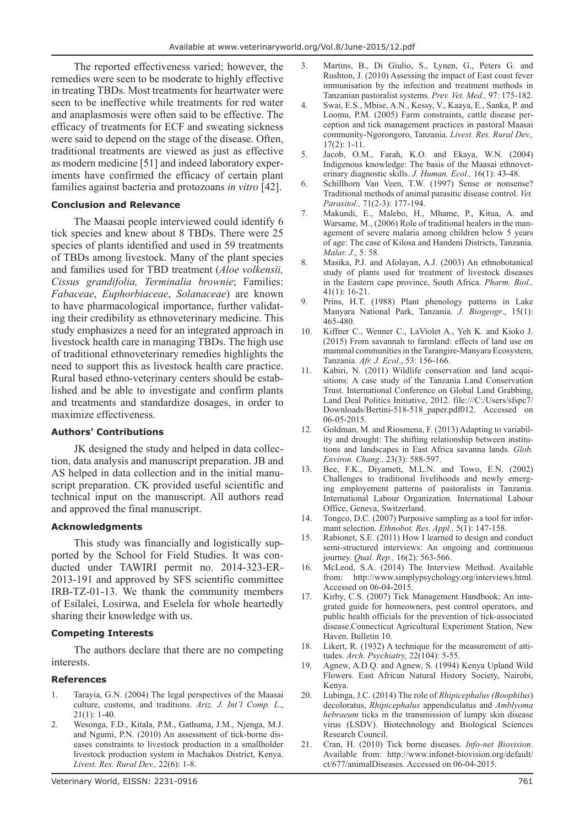The reported effectiveness varied; however, the remedies were seen to be moderate to highly effective in treating TBDs. Most treatments for heartwater were seen to be ineffective while treatments for red water and anaplasmosis were often said to be effective. The efficacy of treatments for ECF and sweating sickness were said to depend on the stage of the disease. Often, traditional treatments are viewed as just as effective as modern medicine [51] and indeed laboratory experiments have confirmed the efficacy of certain plant families against bacteria and protozoans *in vitro* [42].

## **Conclusion and Relevance**

The Maasai people interviewed could identify 6 tick species and knew about 8 TBDs. There were 25 species of plants identified and used in 59 treatments of TBDs among livestock. Many of the plant species and families used for TBD treatment (*Aloe volkensii, Cissus grandifolia, Terminalia brownie*; Families: *Fabaceae*, *Euphorbiaceae*, *Solanaceae*) are known to have pharmacological importance, further validating their credibility as ethnoveterinary medicine. This study emphasizes a need for an integrated approach in livestock health care in managing TBDs. The high use of traditional ethnoveterinary remedies highlights the need to support this as livestock health care practice. Rural based ethno-veterinary centers should be established and be able to investigate and confirm plants and treatments and standardize dosages, in order to maximize effectiveness.

## **Authors' Contributions**

JK designed the study and helped in data collection, data analysis and manuscript preparation. JB and AS helped in data collection and in the initial manuscript preparation. CK provided useful scientific and technical input on the manuscript. All authors read and approved the final manuscript.

## **Acknowledgments**

This study was financially and logistically supported by the School for Field Studies. It was conducted under TAWIRI permit no. 2014-323-ER-2013-191 and approved by SFS scientific committee IRB-TZ-01-13. We thank the community members of Esilalei, Losirwa, and Eselela for whole heartedly sharing their knowledge with us.

## **Competing Interests**

The authors declare that there are no competing interests.

## **References**

- 1. Tarayia, G.N. (2004) The legal perspectives of the Maasai culture, customs, and traditions. *Ariz. J. Int'l Comp. L*.,  $21(1): 1-40.$
- 2. Wesonga, F.D., Kitala, P.M., Gathuma, J.M., Njenga, M.J. and Ngumi, P.N. (2010) An assessment of tick-borne diseases constraints to livestock production in a smallholder livestock production system in Machakos District, Kenya. *Livest. Res. Rural Dev.,* 22(6): 1-8.
- 3. Martins, B., Di Giulio, S., Lynen, G., Peters G. and Rushton, J. (2010) Assessing the impact of East coast fever immunisation by the infection and treatment methods in Tanzanian pastoralist systems. *Prev. Vet. Med.,* 97: 175-182.
- 4. Swai, E.S., Mbise, A.N., Kessy, V., Kaaya, E., Sanka, P. and Loomu, P.M. (2005) Farm constraints, cattle disease perception and tick management practices in pastoral Maasai community-Ngorongoro, Tanzania. *Livest. Res. Rural Dev.,*  17(2): 1-11.
- 5. Jacob, O.M., Farah, K.O. and Ekaya, W.N. (2004) Indigenous knowledge: The basis of the Maasai ethnoveterinary diagnostic skills. *J. Human. Ecol.,* 16(1): 43-48.
- 6. Schillhorn Van Veen, T.W. (1997) Sense or nonsense? Traditional methods of animal parasitic disease control. *Vet. Parasitol.,* 71(2-3): 177-194.
- 7. Makundi, E., Malebo, H., Mhame, P., Kitua, A. and Warsame, M., (2006) Role of traditional healers in the management of severe malaria among children below 5 years of age: The case of Kilosa and Handeni Districts, Tanzania. *Malar. J*., 5: 58.
- 8. Masika, P.J. and Afolayan, A.J. (2003) An ethnobotanical study of plants used for treatment of livestock diseases in the Eastern cape province, South Africa. *Pharm. Biol.,* 41(1): 16-21.
- 9. Prins, H.T. (1988) Plant phenology patterns in Lake Manyara National Park, Tanzania. *J. Biogeogr*., 15(1): 465-480.
- 10. Kiffner C., Wenner C., LaViolet A., Yeh K. and Kioko J. (2015) From savannah to farmland: effects of land use on mammal communities in the Tarangire-Manyara Ecosystem, Tanzania. *Afr. J. Ecol*., 53: 156-166.
- 11. Kabiri, N. (2011) Wildlife conservation and land acquisitions: A case study of the Tanzania Land Conservation Trust. International Conference on Global Land Grabbing, Land Deal Politics Initiative, 2012. file:///C:/Users/sfspc7/ Downloads/Bertini-518-518 paper.pdf012. Accessed on 06-05-2015.
- 12. Goldman, M. and Riosmena, F. (2013) Adapting to variability and drought: The shifting relationship between institutions and landscapes in East Africa savanna lands. *Glob. Environ. Chang.,* 23(3): 588-597.
- 13. Bee, F.K., Diyamett, M.L.N. and Towo, E.N. (2002) Challenges to traditional livelihoods and newly emerging employement patterns of pastoralists in Tanzania. International Labour Organization*.* International Labour Office, Geneva, Switzerland.
- 14. Tongco, D.C. (2007) Purposive sampling as a tool for informant selection. *Ethnobot. Res. Appl.,* 5(1): 147-158.
- 15. Rabionet, S.E. (2011) How I learned to design and conduct semi-structured interviews: An ongoing and continuous journey. *Qual. Rep.,* 16(2): 563-566.
- 16. McLeod, S.A. (2014) The Interview Method. Available from: http://www.simplypsychology.org/interviews.html. Accessed on 06-04-2015.
- 17. Kirby, C.S. (2007) Tick Management Handbook; An integrated guide for homeowners, pest control operators, and public health officials for the prevention of tick-associated disease.Connecticut Agricultural Experiment Station, New Haven. Bulletin 10.
- 18. Likert, R. (1932) A technique for the measurement of attitudes. *Arch. Psychiatry,* 22(104): 5-55.
- 19. Agnew, A.D.Q. and Agnew, S. (1994) Kenya Upland Wild Flowers*.* East African Natural History Society, Nairobi, Kenya.
- 20. Lubinga, J.C. (2014) The role of *Rhipicephalus (Boophilus*) decoloratus, *Rhipicephalus* appendiculatus and *Amblyoma hebraeum* ticks in the transmission of lumpy skin disease virus (LSDV). Biotechnology and Biological Sciences Research Council.
- 21. Cran, H. (2010) Tick borne diseases. *Info-net Biovision*. Available from: http://www.infonet-biovision.org/default/ ct/677/animalDiseases. Accessed on 06-04-2015.